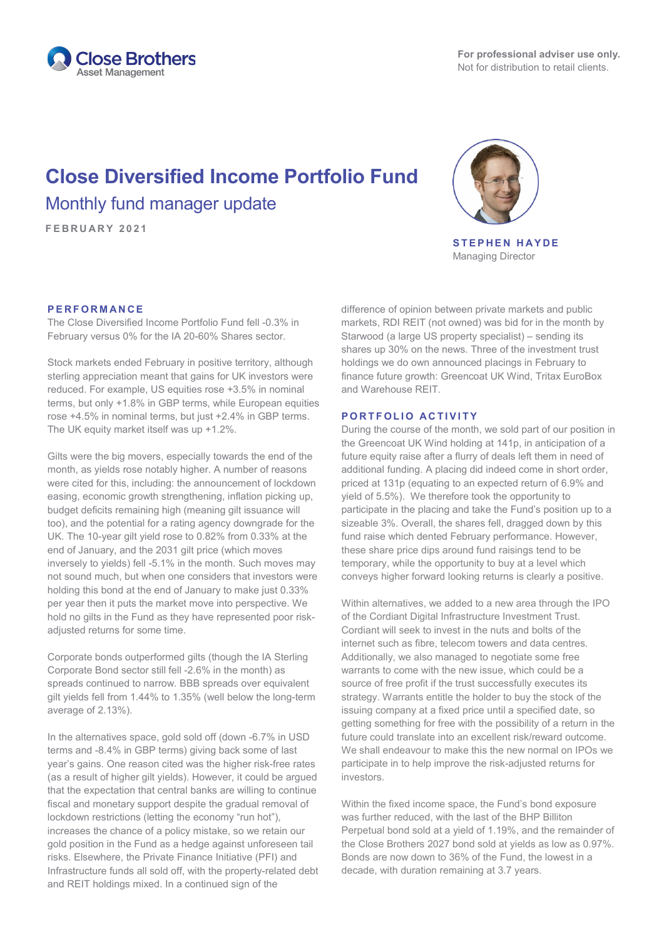

# **Close Diversified Income Portfolio Fund** Monthly fund manager update

**FEBRUARY 2021**



**STEPHEN HAYDE** Managing Director

#### **PERFORMANCE**

The Close Diversified Income Portfolio Fund fell -0.3% in February versus 0% for the IA 20-60% Shares sector.

Stock markets ended February in positive territory, although sterling appreciation meant that gains for UK investors were reduced. For example, US equities rose +3.5% in nominal terms, but only +1.8% in GBP terms, while European equities rose +4.5% in nominal terms, but just +2.4% in GBP terms. The UK equity market itself was up +1.2%.

Gilts were the big movers, especially towards the end of the month, as yields rose notably higher. A number of reasons were cited for this, including: the announcement of lockdown easing, economic growth strengthening, inflation picking up, budget deficits remaining high (meaning gilt issuance will too), and the potential for a rating agency downgrade for the UK. The 10-year gilt yield rose to 0.82% from 0.33% at the end of January, and the 2031 gilt price (which moves inversely to yields) fell -5.1% in the month. Such moves may not sound much, but when one considers that investors were holding this bond at the end of January to make just 0.33% per year then it puts the market move into perspective. We hold no gilts in the Fund as they have represented poor riskadjusted returns for some time.

Corporate bonds outperformed gilts (though the IA Sterling Corporate Bond sector still fell -2.6% in the month) as spreads continued to narrow. BBB spreads over equivalent gilt yields fell from 1.44% to 1.35% (well below the long-term average of 2.13%).

In the alternatives space, gold sold off (down -6.7% in USD terms and -8.4% in GBP terms) giving back some of last year's gains. One reason cited was the higher risk-free rates (as a result of higher gilt yields). However, it could be argued that the expectation that central banks are willing to continue fiscal and monetary support despite the gradual removal of lockdown restrictions (letting the economy "run hot"), increases the chance of a policy mistake, so we retain our gold position in the Fund as a hedge against unforeseen tail risks. Elsewhere, the Private Finance Initiative (PFI) and Infrastructure funds all sold off, with the property-related debt and REIT holdings mixed. In a continued sign of the

difference of opinion between private markets and public markets, RDI REIT (not owned) was bid for in the month by Starwood (a large US property specialist) – sending its shares up 30% on the news. Three of the investment trust holdings we do own announced placings in February to finance future growth: Greencoat UK Wind, Tritax EuroBox and Warehouse REIT.

#### **PORTFOLIO ACTIVITY**

During the course of the month, we sold part of our position in the Greencoat UK Wind holding at 141p, in anticipation of a future equity raise after a flurry of deals left them in need of additional funding. A placing did indeed come in short order, priced at 131p (equating to an expected return of 6.9% and yield of 5.5%). We therefore took the opportunity to participate in the placing and take the Fund's position up to a sizeable 3%. Overall, the shares fell, dragged down by this fund raise which dented February performance. However, these share price dips around fund raisings tend to be temporary, while the opportunity to buy at a level which conveys higher forward looking returns is clearly a positive.

Within alternatives, we added to a new area through the IPO of the Cordiant Digital Infrastructure Investment Trust. Cordiant will seek to invest in the nuts and bolts of the internet such as fibre, telecom towers and data centres. Additionally, we also managed to negotiate some free warrants to come with the new issue, which could be a source of free profit if the trust successfully executes its strategy. Warrants entitle the holder to buy the stock of the issuing company at a fixed price until a specified date, so getting something for free with the possibility of a return in the future could translate into an excellent risk/reward outcome. We shall endeavour to make this the new normal on IPOs we participate in to help improve the risk-adjusted returns for investors.

Within the fixed income space, the Fund's bond exposure was further reduced, with the last of the BHP Billiton Perpetual bond sold at a yield of 1.19%, and the remainder of the Close Brothers 2027 bond sold at yields as low as 0.97%. Bonds are now down to 36% of the Fund, the lowest in a decade, with duration remaining at 3.7 years.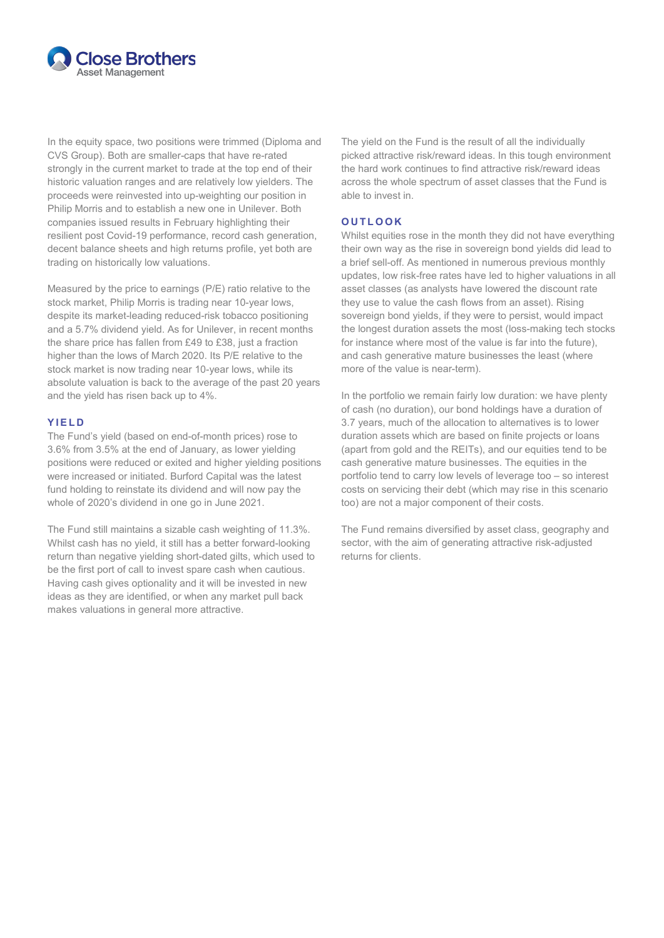

In the equity space, two positions were trimmed (Diploma and CVS Group). Both are smaller-caps that have re-rated strongly in the current market to trade at the top end of their historic valuation ranges and are relatively low yielders. The proceeds were reinvested into up-weighting our position in Philip Morris and to establish a new one in Unilever. Both companies issued results in February highlighting their resilient post Covid-19 performance, record cash generation, decent balance sheets and high returns profile, yet both are trading on historically low valuations.

Measured by the price to earnings (P/E) ratio relative to the stock market, Philip Morris is trading near 10-year lows, despite its market-leading reduced-risk tobacco positioning and a 5.7% dividend yield. As for Unilever, in recent months the share price has fallen from £49 to £38, just a fraction higher than the lows of March 2020. Its P/E relative to the stock market is now trading near 10-year lows, while its absolute valuation is back to the average of the past 20 years and the yield has risen back up to 4%.

### **YIELD**

The Fund's yield (based on end-of-month prices) rose to 3.6% from 3.5% at the end of January, as lower yielding positions were reduced or exited and higher yielding positions were increased or initiated. Burford Capital was the latest fund holding to reinstate its dividend and will now pay the whole of 2020's dividend in one go in June 2021.

The Fund still maintains a sizable cash weighting of 11.3%. Whilst cash has no yield, it still has a better forward-looking return than negative yielding short-dated gilts, which used to be the first port of call to invest spare cash when cautious. Having cash gives optionality and it will be invested in new ideas as they are identified, or when any market pull back makes valuations in general more attractive.

The yield on the Fund is the result of all the individually picked attractive risk/reward ideas. In this tough environment the hard work continues to find attractive risk/reward ideas across the whole spectrum of asset classes that the Fund is able to invest in.

## **OUTLOOK**

Whilst equities rose in the month they did not have everything their own way as the rise in sovereign bond yields did lead to a brief sell-off. As mentioned in numerous previous monthly updates, low risk-free rates have led to higher valuations in all asset classes (as analysts have lowered the discount rate they use to value the cash flows from an asset). Rising sovereign bond yields, if they were to persist, would impact the longest duration assets the most (loss-making tech stocks for instance where most of the value is far into the future), and cash generative mature businesses the least (where more of the value is near-term).

In the portfolio we remain fairly low duration: we have plenty of cash (no duration), our bond holdings have a duration of 3.7 years, much of the allocation to alternatives is to lower duration assets which are based on finite projects or loans (apart from gold and the REITs), and our equities tend to be cash generative mature businesses. The equities in the portfolio tend to carry low levels of leverage too – so interest costs on servicing their debt (which may rise in this scenario too) are not a major component of their costs.

The Fund remains diversified by asset class, geography and sector, with the aim of generating attractive risk-adjusted returns for clients.